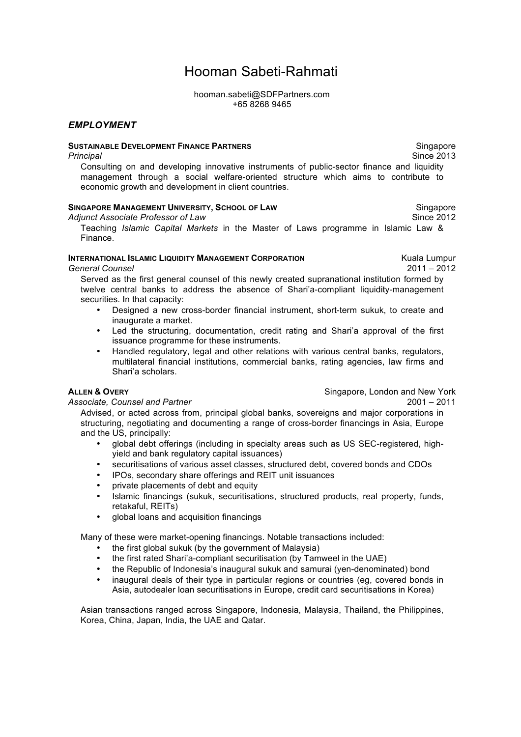# Hooman Sabeti-Rahmati

hooman.sabeti@SDFPartners.com +65 8268 9465

## *EMPLOYMENT*

#### **SUSTAINABLE DEVELOPMENT FINANCE PARTNERS**

*Principal*

Consulting on and developing innovative instruments of public-sector finance and liquidity management through a social welfare-oriented structure which aims to contribute to economic growth and development in client countries.

#### **SINGAPORE MANAGEMENT UNIVERSITY, SCHOOL OF LAW**

*Adjunct Associate Professor of Law*

Teaching *Islamic Capital Markets* in the Master of Laws programme in Islamic Law & Finance.

### **INTERNATIONAL ISLAMIC LIQUIDITY MANAGEMENT CORPORATION**

*General Counsel*

Kuala Lumpur 2011 – 2012

Served as the first general counsel of this newly created supranational institution formed by twelve central banks to address the absence of Shari'a-compliant liquidity-management securities. In that capacity:

- Designed a new cross-border financial instrument, short-term sukuk, to create and inaugurate a market.
- Led the structuring, documentation, credit rating and Shari'a approval of the first issuance programme for these instruments.
- Handled regulatory, legal and other relations with various central banks, regulators, multilateral financial institutions, commercial banks, rating agencies, law firms and Shari'a scholars.

#### **ALLEN & OVERY** *Associate, Counsel and Partner*

Singapore, London and New York  $2001 - 2011$ 

Advised, or acted across from, principal global banks, sovereigns and major corporations in structuring, negotiating and documenting a range of cross-border financings in Asia, Europe and the US, principally:

- global debt offerings (including in specialty areas such as US SEC-registered, highyield and bank regulatory capital issuances)
- securitisations of various asset classes, structured debt, covered bonds and CDOs
- IPOs, secondary share offerings and REIT unit issuances
- private placements of debt and equity
- Islamic financings (sukuk, securitisations, structured products, real property, funds, retakaful, REITs)
- global loans and acquisition financings

Many of these were market-opening financings. Notable transactions included:

- the first global sukuk (by the government of Malaysia)
- the first rated Shari'a-compliant securitisation (by Tamweel in the UAE)
- the Republic of Indonesia's inaugural sukuk and samurai (yen-denominated) bond
- inaugural deals of their type in particular regions or countries (eg, covered bonds in Asia, autodealer loan securitisations in Europe, credit card securitisations in Korea)

Asian transactions ranged across Singapore, Indonesia, Malaysia, Thailand, the Philippines, Korea, China, Japan, India, the UAE and Qatar.

Singapore Since 2013

Singapore Since 2012